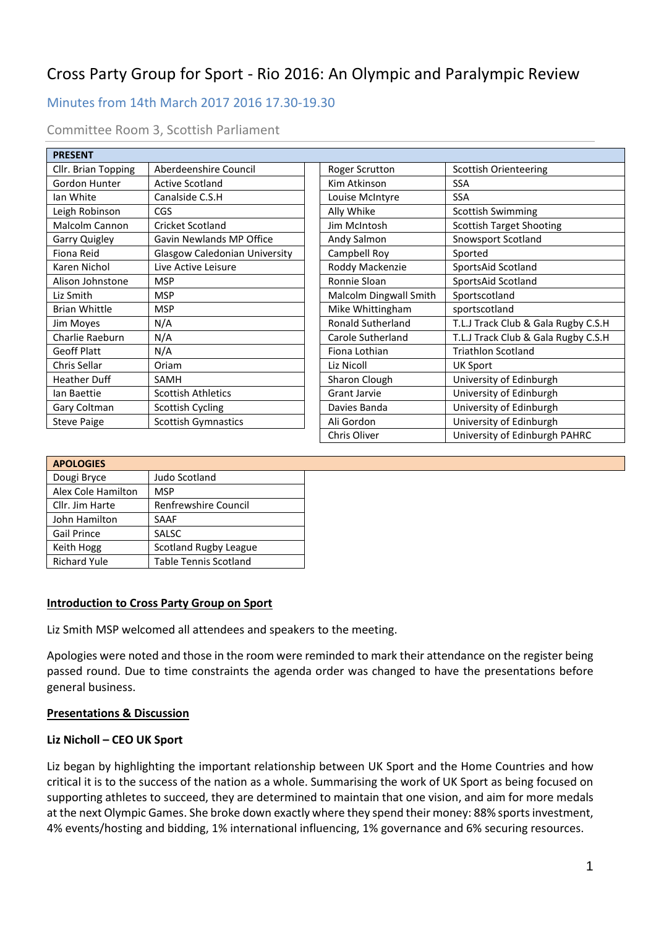# Cross Party Group for Sport - Rio 2016: An Olympic and Paralympic Review

## Minutes from 14th March 2017 2016 17.30-19.30

| <b>PRESENT</b>        |                                      |                          |                                     |
|-----------------------|--------------------------------------|--------------------------|-------------------------------------|
| Cllr. Brian Topping   | Aberdeenshire Council                | Roger Scrutton           | <b>Scottish Orienteering</b>        |
| Gordon Hunter         | <b>Active Scotland</b>               | Kim Atkinson             | <b>SSA</b>                          |
| lan White             | Canalside C.S.H                      | Louise McIntyre          | <b>SSA</b>                          |
| Leigh Robinson        | <b>CGS</b>                           | Ally Whike               | <b>Scottish Swimming</b>            |
| <b>Malcolm Cannon</b> | Cricket Scotland                     | Jim McIntosh             | <b>Scottish Target Shooting</b>     |
| Garry Quigley         | <b>Gavin Newlands MP Office</b>      | Andy Salmon              | Snowsport Scotland                  |
| Fiona Reid            | <b>Glasgow Caledonian University</b> | Campbell Roy             | Sported                             |
| Karen Nichol          | Live Active Leisure                  | Roddy Mackenzie          | SportsAid Scotland                  |
| Alison Johnstone      | <b>MSP</b>                           | Ronnie Sloan             | SportsAid Scotland                  |
| Liz Smith             | <b>MSP</b>                           | Malcolm Dingwall Smith   | Sportscotland                       |
| <b>Brian Whittle</b>  | <b>MSP</b>                           | Mike Whittingham         | sportscotland                       |
| Jim Moyes             | N/A                                  | <b>Ronald Sutherland</b> | T.L.J Track Club & Gala Rugby C.S.H |
| Charlie Raeburn       | N/A                                  | Carole Sutherland        | T.L.J Track Club & Gala Rugby C.S.H |
| <b>Geoff Platt</b>    | N/A                                  | Fiona Lothian            | <b>Triathlon Scotland</b>           |
| Chris Sellar          | Oriam                                | Liz Nicoll               | <b>UK Sport</b>                     |
| Heather Duff          | SAMH                                 | Sharon Clough            | University of Edinburgh             |
| lan Baettie           | <b>Scottish Athletics</b>            | <b>Grant Jarvie</b>      | University of Edinburgh             |
| Gary Coltman          | Scottish Cycling                     | Davies Banda             | University of Edinburgh             |
| <b>Steve Paige</b>    | <b>Scottish Gymnastics</b>           | Ali Gordon               | University of Edinburgh             |
|                       |                                      | <b>Chris Oliver</b>      | University of Edinburgh PAHRC       |

| <b>APOLOGIES</b>    |                              |  |  |
|---------------------|------------------------------|--|--|
| Dougi Bryce         | Judo Scotland                |  |  |
| Alex Cole Hamilton  | <b>MSP</b>                   |  |  |
| Cllr. Jim Harte     | Renfrewshire Council         |  |  |
| John Hamilton       | <b>SAAF</b>                  |  |  |
| <b>Gail Prince</b>  | <b>SALSC</b>                 |  |  |
| Keith Hogg          | <b>Scotland Rugby League</b> |  |  |
| <b>Richard Yule</b> | <b>Table Tennis Scotland</b> |  |  |

#### **Introduction to Cross Party Group on Sport**

Liz Smith MSP welcomed all attendees and speakers to the meeting.

Apologies were noted and those in the room were reminded to mark their attendance on the register being passed round. Due to time constraints the agenda order was changed to have the presentations before general business.

#### **Presentations & Discussion**

#### **Liz Nicholl – CEO UK Sport**

Liz began by highlighting the important relationship between UK Sport and the Home Countries and how critical it is to the success of the nation as a whole. Summarising the work of UK Sport as being focused on supporting athletes to succeed, they are determined to maintain that one vision, and aim for more medals at the next Olympic Games. She broke down exactly where they spend their money: 88% sports investment, 4% events/hosting and bidding, 1% international influencing, 1% governance and 6% securing resources.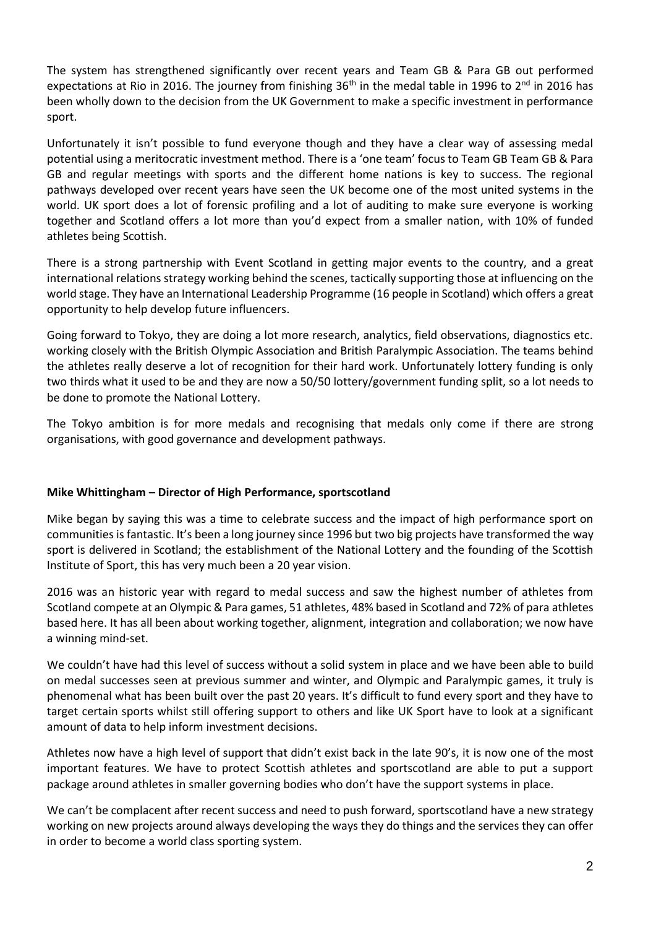The system has strengthened significantly over recent years and Team GB & Para GB out performed expectations at Rio in 2016. The journey from finishing 36<sup>th</sup> in the medal table in 1996 to 2<sup>nd</sup> in 2016 has been wholly down to the decision from the UK Government to make a specific investment in performance sport.

Unfortunately it isn't possible to fund everyone though and they have a clear way of assessing medal potential using a meritocratic investment method. There is a 'one team' focus to Team GB Team GB & Para GB and regular meetings with sports and the different home nations is key to success. The regional pathways developed over recent years have seen the UK become one of the most united systems in the world. UK sport does a lot of forensic profiling and a lot of auditing to make sure everyone is working together and Scotland offers a lot more than you'd expect from a smaller nation, with 10% of funded athletes being Scottish.

There is a strong partnership with Event Scotland in getting major events to the country, and a great international relations strategy working behind the scenes, tactically supporting those at influencing on the world stage. They have an International Leadership Programme (16 people in Scotland) which offers a great opportunity to help develop future influencers.

Going forward to Tokyo, they are doing a lot more research, analytics, field observations, diagnostics etc. working closely with the British Olympic Association and British Paralympic Association. The teams behind the athletes really deserve a lot of recognition for their hard work. Unfortunately lottery funding is only two thirds what it used to be and they are now a 50/50 lottery/government funding split, so a lot needs to be done to promote the National Lottery.

The Tokyo ambition is for more medals and recognising that medals only come if there are strong organisations, with good governance and development pathways.

#### **Mike Whittingham – Director of High Performance, sportscotland**

Mike began by saying this was a time to celebrate success and the impact of high performance sport on communities is fantastic. It's been a long journey since 1996 but two big projects have transformed the way sport is delivered in Scotland; the establishment of the National Lottery and the founding of the Scottish Institute of Sport, this has very much been a 20 year vision.

2016 was an historic year with regard to medal success and saw the highest number of athletes from Scotland compete at an Olympic & Para games, 51 athletes, 48% based in Scotland and 72% of para athletes based here. It has all been about working together, alignment, integration and collaboration; we now have a winning mind-set.

We couldn't have had this level of success without a solid system in place and we have been able to build on medal successes seen at previous summer and winter, and Olympic and Paralympic games, it truly is phenomenal what has been built over the past 20 years. It's difficult to fund every sport and they have to target certain sports whilst still offering support to others and like UK Sport have to look at a significant amount of data to help inform investment decisions.

Athletes now have a high level of support that didn't exist back in the late 90's, it is now one of the most important features. We have to protect Scottish athletes and sportscotland are able to put a support package around athletes in smaller governing bodies who don't have the support systems in place.

We can't be complacent after recent success and need to push forward, sportscotland have a new strategy working on new projects around always developing the ways they do things and the services they can offer in order to become a world class sporting system.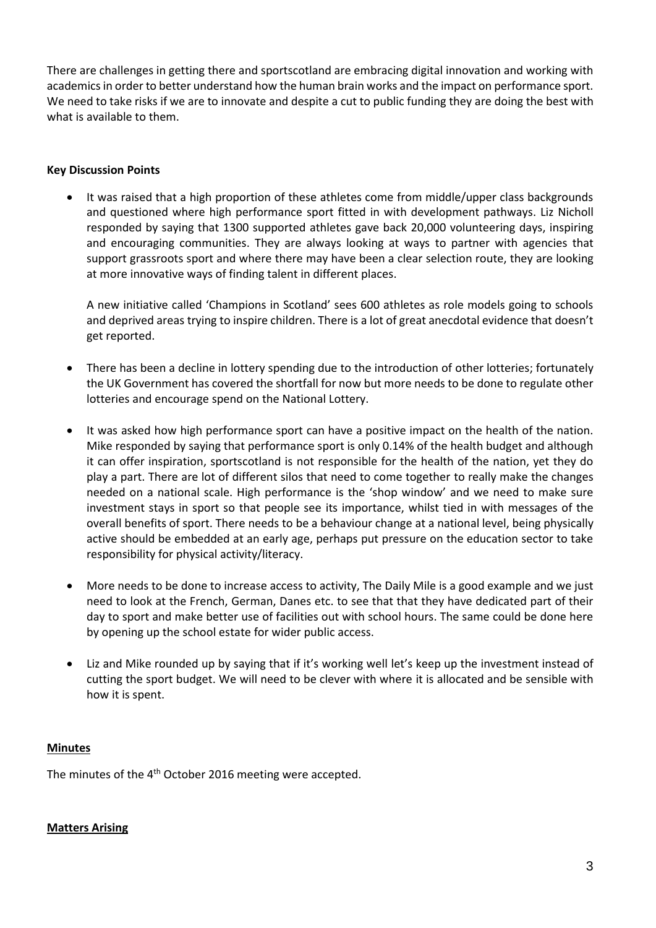There are challenges in getting there and sportscotland are embracing digital innovation and working with academics in order to better understand how the human brain works and the impact on performance sport. We need to take risks if we are to innovate and despite a cut to public funding they are doing the best with what is available to them.

### **Key Discussion Points**

 It was raised that a high proportion of these athletes come from middle/upper class backgrounds and questioned where high performance sport fitted in with development pathways. Liz Nicholl responded by saying that 1300 supported athletes gave back 20,000 volunteering days, inspiring and encouraging communities. They are always looking at ways to partner with agencies that support grassroots sport and where there may have been a clear selection route, they are looking at more innovative ways of finding talent in different places.

A new initiative called 'Champions in Scotland' sees 600 athletes as role models going to schools and deprived areas trying to inspire children. There is a lot of great anecdotal evidence that doesn't get reported.

- There has been a decline in lottery spending due to the introduction of other lotteries; fortunately the UK Government has covered the shortfall for now but more needs to be done to regulate other lotteries and encourage spend on the National Lottery.
- It was asked how high performance sport can have a positive impact on the health of the nation. Mike responded by saying that performance sport is only 0.14% of the health budget and although it can offer inspiration, sportscotland is not responsible for the health of the nation, yet they do play a part. There are lot of different silos that need to come together to really make the changes needed on a national scale. High performance is the 'shop window' and we need to make sure investment stays in sport so that people see its importance, whilst tied in with messages of the overall benefits of sport. There needs to be a behaviour change at a national level, being physically active should be embedded at an early age, perhaps put pressure on the education sector to take responsibility for physical activity/literacy.
- More needs to be done to increase access to activity, The Daily Mile is a good example and we just need to look at the French, German, Danes etc. to see that that they have dedicated part of their day to sport and make better use of facilities out with school hours. The same could be done here by opening up the school estate for wider public access.
- Liz and Mike rounded up by saying that if it's working well let's keep up the investment instead of cutting the sport budget. We will need to be clever with where it is allocated and be sensible with how it is spent.

#### **Minutes**

The minutes of the 4<sup>th</sup> October 2016 meeting were accepted.

#### **Matters Arising**